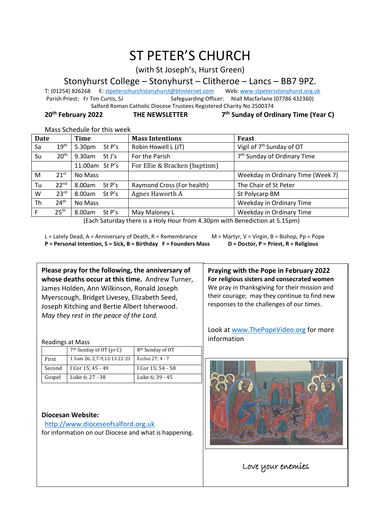# ST PETER'S CHURCH

(with St Joseph's, Hurst Green)

## Stonyhurst College – Stonyhurst – Clitheroe – Lancs – BB7 9PZ.

T: (01254) 826268 E[: stpeterschurchstonyhurst@btinternet.com](mailto:stpeterschurchstonyhurst@btinternet.com) Web[: www.stpetersstonyhurst.org.uk](http://www.stpetersstonyhurst.org.uk/)<br>Parish Priest: Fr Tim Curtis. SJ Safeguarding Officer: Niall Macfarlane (07786 432360) Safeguarding Officer: Niall Macfarlane (07786 432360) Salford Roman Catholic Diocese Trustees Registered Charity No 2500374

#### **20th February 2022 THE NEWSLETTER 7 th Sunday of Ordinary Time (Year C)**

#### Mass Schedule for this week

| <b>Date</b> |                  | Time               | <b>Mass Intentions</b>        | Feast                                   |
|-------------|------------------|--------------------|-------------------------------|-----------------------------------------|
| Sa          | 19 <sup>th</sup> | 5.30pm<br>St $P's$ | Robin Howell L (JT)           | Vigil of 7 <sup>th</sup> Sunday of OT   |
| Su          | 20 <sup>th</sup> | 9.30am<br>St J's   | For the Parish                | 7 <sup>th</sup> Sunday of Ordinary Time |
|             |                  | 11.00am St P's     | For Ellie & Bracken (baptism) |                                         |
| M           | $21^{st}$        | No Mass            |                               | Weekday in Ordinary Time (Week 7)       |
| Tu          | 22 <sup>nd</sup> | 8.00am<br>St P's   | Raymond Cross (For health)    | The Chair of St Peter                   |
| W           | 23 <sup>rd</sup> | 8.00am<br>St P's   | Agnes Haworth A               | St Polycarp BM                          |
| Th          | 24 <sup>th</sup> | No Mass            |                               | Weekday in Ordinary Time                |
| F           | 25 <sup>th</sup> | 8.00am<br>St P's   | May Maloney L                 | Weekday in Ordinary Time                |

(Each Saturday there is a Holy Hour from 4.30pm with Benediction at 5.15pm)

L = Lately Dead, A = Anniversary of Death, R = Remembrance M = Martyr, V = Virgin, B = Bishop, Pp = Pope **P = Personal Intention, S = Sick, B = Birthday F = Founders Mass D = Doctor, P = Priest, R = Religious**

**Please pray for the following, the anniversary of whose deaths occur at this time.** Andrew Turner, James Holden, Ann Wilkinson, Ronald Joseph Myerscough, Bridget Livesey, Elizabeth Seed, Joseph Kitching and Bertie Albert Isherwood. *May they rest in the peace of the Lord.*

**Praying with the Pope in February 2022 For religious sisters and consecrated women** We pray in thanksgiving for their mission and their courage; may they continue to find new responses to the challenges of our times.

Look at www.ThePopeVideo.org for more information



֖֖֚֚֚֬

### http://www.dioceseofsalford.org.uk

**Diocesan Website:**

Readings at Mass

for information on our Diocese and what is happening.

Love your enemies